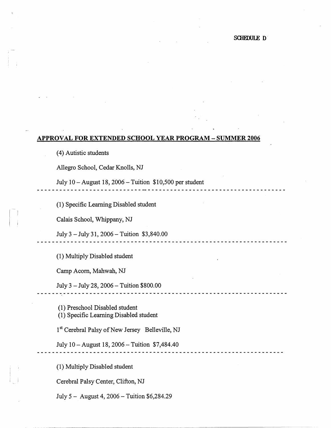## **APPROVAL FOR EXTENDED SCHOOL YEAR PROGRAM - SUMMER 2006**

( 4) Autistic students

Allegro School, Cedar Knolls, NJ

July 10 - August 18, 2006 - Tuition \$10,500 per student

------------------------

(1) Specific Learning Disabled student

Calais School, Whippany, NJ

I

 $\vert$ 

July 3 - July 31, 2006 -Tuition \$3,840.00

(1) Multiply Disabled student

. . . . . . . . . . . . . . . . . .

Camp Acorn, Mahwah, NJ

July 3 - July 28, 2006 - Tuition \$800.00

(1) Preschool Disabled student (1) Specific Learning Disabled student

1<sup>st</sup> Cerebral Palsy of New Jersey Belleville, NJ

July IO-August 18, 2006-Tuition \$7,484.40

(1) Multiply Disabled student

Cerebral Palsy Center, Clifton, NJ

July 5 - August 4, 2006 - Tuition \$6,284.29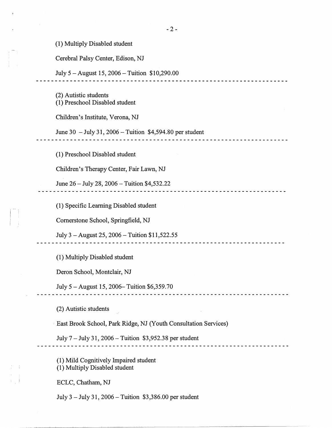(1) Multiply Disabled student

Cerebral Palsy Center, Edison, NJ

July 5 - August 15, 2006 - Tuition \$10,290.00 

(2) Autistic students (1) Preschool Disabled student

Children's Institute, Verona, NJ

June 30 - July 31, 2006 - Tuition \$4,594.80 per student

(1) Preschool Disabled student

Children's Therapy Center, Fair Lawn, NJ

June 26 - July 28, 2006 - Tuition \$4,532.22 \_\_\_\_\_\_\_\_\_\_\_\_\_\_\_\_\_\_\_\_\_\_\_\_\_\_\_\_\_\_\_

(1) Specific Learning Disabled student

Cornerstone School, Springfield, NJ

July 3 – August 25, 2006 – Tuition  $$11,522.55$ 

(1) Multiply Disabled student

Deron School, Montclair, NJ

July 5 -August 15, 2006-Tuition \$6,359.70

(2) Autistic students

· East Brook School, Park Ridge, NJ (Youth Consultation Services)

July 7 - July 31, 2006 - Tuition \$3,952.38 per student

(1) Mild Cognitively Impaired student (1) Multiply Disabled student

ECLC, Chatham, NJ

III I

July 3 - July 31, 2006 - Tuition \$3,386.00 per student

<u>-------------------------</u>-

-----------------------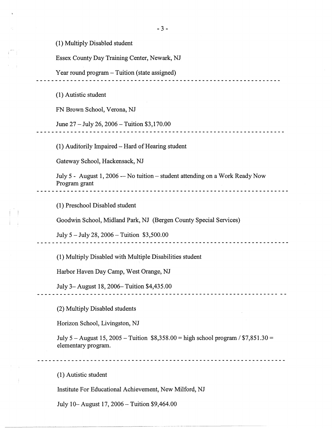(I) Multiply Disabled student

Essex County Day Training Center, Newark, NJ

Year round program – Tuition (state assigned)

(I) Autistic student

FN Brown School, Verona, NJ

June 27 - July 26, 2006 - Tuition \$3,170.00

(I) Auditorily Impaired-Hard of Hearing student

. . . . . . . . . . . . . . . . . . . .

Gateway School, Hackensack, NJ

July 5 - August 1, 2006 -- No tuition - student attending on a Work Ready Now Program grant

(I) Preschool Disabled student

Goodwin School, Midland Park, NJ (Bergen County Special Services)

July *5* - July 28, 2006 - Tuition \$3,500.00

(I) Multiply Disabled with Multiple Disabilities student

Harbor Haven Day Camp, West Orange, NJ

July 3-August 18, 2006-Tuition \$4,435.00

(2) Multiply Disabled students

Horizon School, Livingston, NJ

July *5* -August 15, 2005 -Tuition \$8,358.00 = high school program/ \$7,851.30 = elementary program.

(I) Autistic student

Institute For Educational Achievement, New Milford, NJ

July IO-August 17, 2006-Tuition \$9,464.00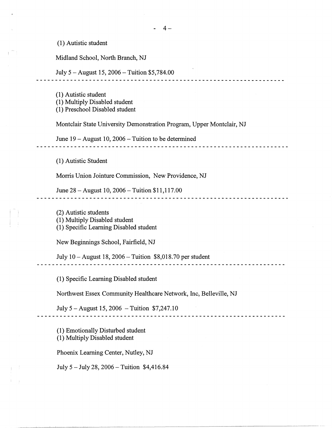(1) Autistic student

Midland School, North Branch, NJ

July 5 -August 15, 2006-Tuition \$5,784.00

{l) Autistic student

(1) Multiply Disabled student

(1) Preschool Disabled student

Montclair State University Demonstration Program, Upper Montclair, NJ

June 19 - August 10, 2006 - Tuition to be determined

(1) Autistic Student

Morris Union Jointure Commission, New Providence, NJ

June 28 - August 10, 2006 - Tuition \$11,117.00 

(2) Autistic students

(1) Multiply Disabled student

(1) Specific Learning Disabled student

New Beginnings School, Fairfield, NJ

July 10 - August 18, 2006 - Tuition \$8,018.70 per student

(1) Specific Learning Disabled student

Northwest Essex Community Healthcare Network, Inc, Belleville, NJ

July 5 -August 15, 2006 -Tuition \$7,247.10 

(1) Emotionally Disturbed student (1) Multiply Disabled student

Phoenix Learning Center, Nutley, NJ

July 5 -July 28, 2006-Tuition \$4,416.84